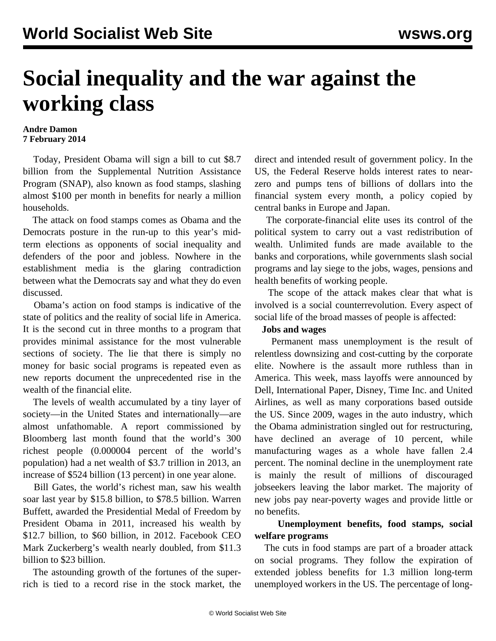# **Social inequality and the war against the working class**

#### **Andre Damon 7 February 2014**

 Today, President Obama will sign a bill to cut \$8.7 billion from the Supplemental Nutrition Assistance Program (SNAP), also known as food stamps, slashing almost \$100 per month in benefits for nearly a million households.

 The attack on food stamps comes as Obama and the Democrats posture in the run-up to this year's midterm elections as opponents of social inequality and defenders of the poor and jobless. Nowhere in the establishment media is the glaring contradiction between what the Democrats say and what they do even discussed.

 Obama's action on food stamps is indicative of the state of politics and the reality of social life in America. It is the second cut in three months to a program that provides minimal assistance for the most vulnerable sections of society. The lie that there is simply no money for basic social programs is repeated even as new reports document the unprecedented rise in the wealth of the financial elite.

 The levels of wealth accumulated by a tiny layer of society—in the United States and internationally—are almost unfathomable. A report commissioned by Bloomberg last month found that the world's 300 richest people (0.000004 percent of the world's population) had a net wealth of \$3.7 trillion in 2013, an increase of \$524 billion (13 percent) in one year alone.

 Bill Gates, the world's richest man, saw his wealth soar last year by \$15.8 billion, to \$78.5 billion. Warren Buffett, awarded the Presidential Medal of Freedom by President Obama in 2011, increased his wealth by \$12.7 billion, to \$60 billion, in 2012. Facebook CEO Mark Zuckerberg's wealth nearly doubled, from \$11.3 billion to \$23 billion.

 The astounding growth of the fortunes of the superrich is tied to a record rise in the stock market, the direct and intended result of government policy. In the US, the Federal Reserve holds interest rates to nearzero and pumps tens of billions of dollars into the financial system every month, a policy copied by central banks in Europe and Japan.

 The corporate-financial elite uses its control of the political system to carry out a vast redistribution of wealth. Unlimited funds are made available to the banks and corporations, while governments slash social programs and lay siege to the jobs, wages, pensions and health benefits of working people.

 The scope of the attack makes clear that what is involved is a social counterrevolution. Every aspect of social life of the broad masses of people is affected:

## **Jobs and wages**

 Permanent mass unemployment is the result of relentless downsizing and cost-cutting by the corporate elite. Nowhere is the assault more ruthless than in America. This week, mass layoffs were announced by Dell, International Paper, Disney, Time Inc. and United Airlines, as well as many corporations based outside the US. Since 2009, wages in the auto industry, which the Obama administration singled out for restructuring, have declined an average of 10 percent, while manufacturing wages as a whole have fallen 2.4 percent. The nominal decline in the unemployment rate is mainly the result of millions of discouraged jobseekers leaving the labor market. The majority of new jobs pay near-poverty wages and provide little or no benefits.

## **Unemployment benefits, food stamps, social welfare programs**

 The cuts in food stamps are part of a broader attack on social programs. They follow the expiration of extended jobless benefits for 1.3 million long-term unemployed workers in the US. The percentage of long-